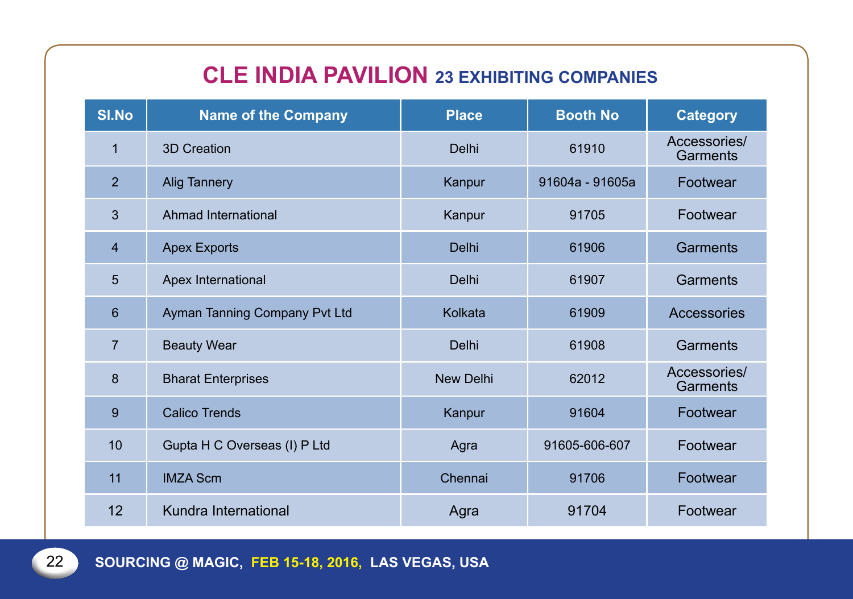# **Cle India Pavilion 23 Exhibiting companies**

| <b>SI.No</b>   | <b>Name of the Company</b>    | <b>Place</b>     | <b>Booth No</b> | <b>Category</b>          |
|----------------|-------------------------------|------------------|-----------------|--------------------------|
| 1              | 3D Creation                   | Delhi            | 61910           | Accessories/<br>Garments |
| $\overline{2}$ | <b>Alig Tannery</b>           | Kanpur           | 91604a - 91605a | Footwear                 |
| $\mathfrak{B}$ | Ahmad International           | Kanpur           | 91705           | Footwear                 |
| $\overline{4}$ | <b>Apex Exports</b>           | Delhi            | 61906           | <b>Garments</b>          |
| 5              | Apex International            | Delhi            | 61907           | Garments                 |
| $6\phantom{1}$ | Ayman Tanning Company Pvt Ltd | Kolkata          | 61909           | Accessories              |
| $\overline{7}$ | <b>Beauty Wear</b>            | Delhi            | 61908           | Garments                 |
| 8              | <b>Bharat Enterprises</b>     | <b>New Delhi</b> | 62012           | Accessories/<br>Garments |
| 9              | <b>Calico Trends</b>          | Kanpur           | 91604           | Footwear                 |
| 10             | Gupta H C Overseas (I) P Ltd  | Agra             | 91605-606-607   | Footwear                 |
| 11             | <b>IMZA Scm</b>               | Chennai          | 91706           | Footwear                 |
| 12             | Kundra International          | Agra             | 91704           | Footwear                 |

**Sourcing @ Magic, Feb 15-18, 2016, LAS VEGAS, USA**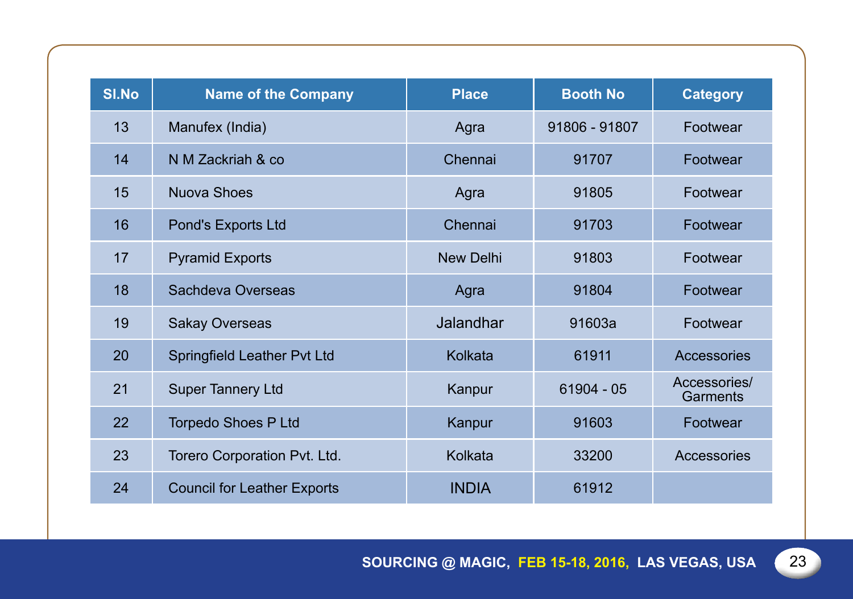| <b>SI.No</b> | <b>Name of the Company</b>         | <b>Place</b>     | <b>Booth No</b> | <b>Category</b>          |
|--------------|------------------------------------|------------------|-----------------|--------------------------|
| 13           | Manufex (India)                    | Agra             | 91806 - 91807   | Footwear                 |
| 14           | N M Zackriah & co                  | Chennai          | 91707           | Footwear                 |
| 15           | <b>Nuova Shoes</b>                 | Agra             | 91805           | Footwear                 |
| 16           | Pond's Exports Ltd                 | Chennai          | 91703           | Footwear                 |
| 17           | <b>Pyramid Exports</b>             | <b>New Delhi</b> | 91803           | Footwear                 |
| 18           | Sachdeva Overseas                  | Agra             | 91804           | Footwear                 |
| 19           | <b>Sakay Overseas</b>              | <b>Jalandhar</b> | 91603a          | Footwear                 |
| 20           | Springfield Leather Pvt Ltd        | Kolkata          | 61911           | Accessories              |
| 21           | <b>Super Tannery Ltd</b>           | Kanpur           | $61904 - 05$    | Accessories/<br>Garments |
| 22           | <b>Torpedo Shoes P Ltd</b>         | Kanpur           | 91603           | Footwear                 |
| 23           | Torero Corporation Pvt. Ltd.       | Kolkata          | 33200           | Accessories              |
| 24           | <b>Council for Leather Exports</b> | <b>INDIA</b>     | 61912           |                          |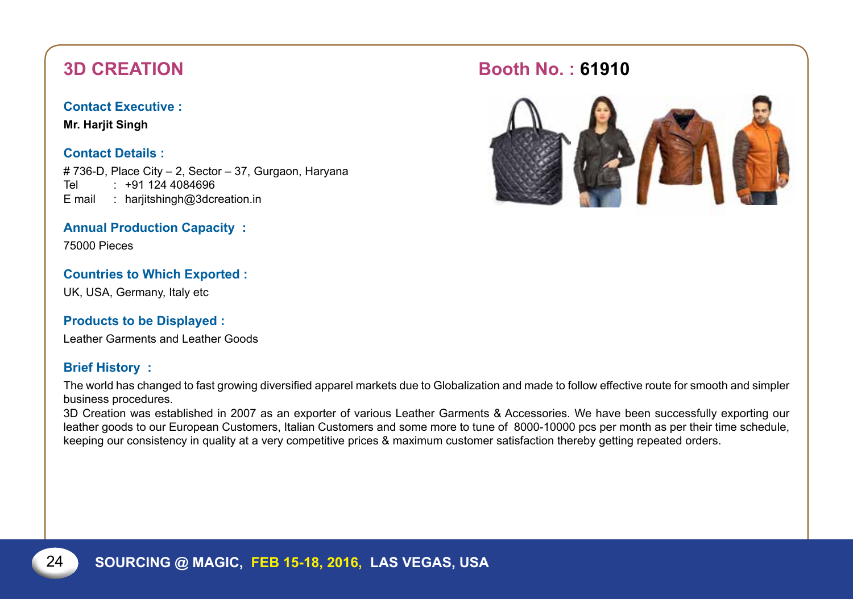**Mr. Harjit Singh**

#### **Contact Details :**

# 736-D, Place City – 2, Sector – 37, Gurgaon, Haryana Tel : +91 124 4084696 E mail : harjitshingh@3dcreation.in

### **Annual Production Capacity :**

75000 Pieces

#### **Countries to Which Exported :**

UK, USA, Germany, Italy etc

#### **Products to be Displayed :**

Leather Garments and Leather Goods

#### **Brief History :**

The world has changed to fast growing diversified apparel markets due to Globalization and made to follow effective route for smooth and simpler business procedures.

3D Creation was established in 2007 as an exporter of various Leather Garments & Accessories. We have been successfully exporting our leather goods to our European Customers, Italian Customers and some more to tune of 8000-10000 pcs per month as per their time schedule, keeping our consistency in quality at a very competitive prices & maximum customer satisfaction thereby getting repeated orders.

## **3D Creation Booth No. : 61910**

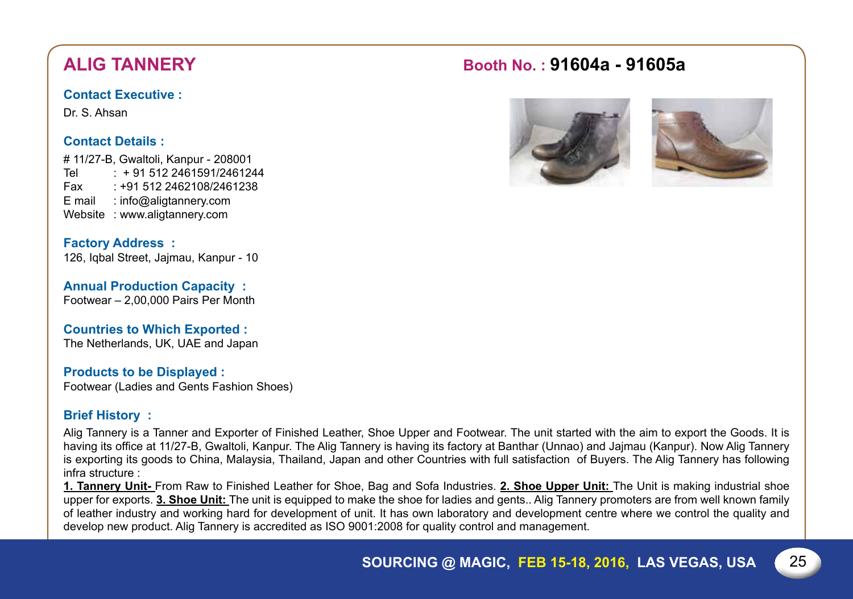Dr. S. Ahsan

### **Contact Details :**

# 11/27-B, Gwaltoli, Kanpur - 208001 Tel : + 91 512 2461591/2461244 Fax : +91 512 2462108/2461238 E mail : info@aligtannery.com Website : www.aligtannery.com

**Factory Address :** 126, Iqbal Street, Jajmau, Kanpur - 10

**Annual Production Capacity :** Footwear – 2,00,000 Pairs Per Month

**Countries to Which Exported :** The Netherlands, UK, UAE and Japan

### **Products to be Displayed :**

Footwear (Ladies and Gents Fashion Shoes)

### **Brief History :**

Alig Tannery is a Tanner and Exporter of Finished Leather, Shoe Upper and Footwear. The unit started with the aim to export the Goods. It is having its office at 11/27-B, Gwaltoli, Kanpur. The Alig Tannery is having its factory at Banthar (Unnao) and Jajmau (Kanpur). Now Alig Tannery is exporting its goods to China, Malaysia, Thailand, Japan and other Countries with full satisfaction of Buyers. The Alig Tannery has following infra structure :

**1. Tannery Unit-** From Raw to Finished Leather for Shoe, Bag and Sofa Industries. **2. Shoe Upper Unit:** The Unit is making industrial shoe upper for exports. **3. Shoe Unit:** The unit is equipped to make the shoe for ladies and gents.. Alig Tannery promoters are from well known family of leather industry and working hard for development of unit. It has own laboratory and development centre where we control the quality and develop new product. Alig Tannery is accredited as ISO 9001:2008 for quality control and management.

# **Alig Tannery Booth No. : 91604a - 91605a**



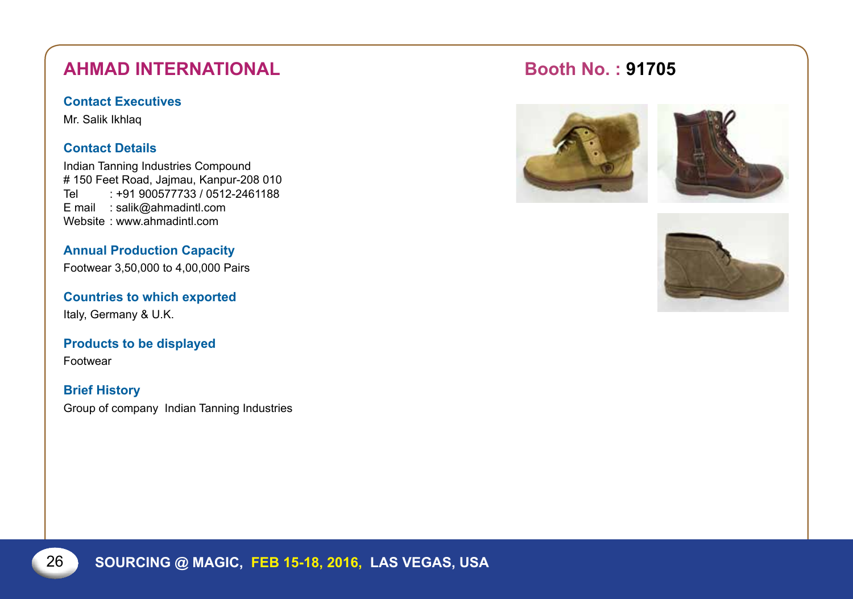# **AHMAD INTERNATIONAL Booth No. : 91705**

#### **Contact Executives**

Mr. Salik Ikhlaq

### **Contact Details**

Indian Tanning Industries Compound # 150 Feet Road, Jajmau, Kanpur-208 010  $\cdot$  +91 900577733 / 0512-2461188 E mail : salik@ahmadintl.com Website : www.ahmadintl.com

**Annual Production Capacity**

Footwear 3,50,000 to 4,00,000 Pairs

**Countries to which exported** Italy, Germany & U.K.

**Products to be displayed** Footwear

**Brief History**  Group of company Indian Tanning Industries



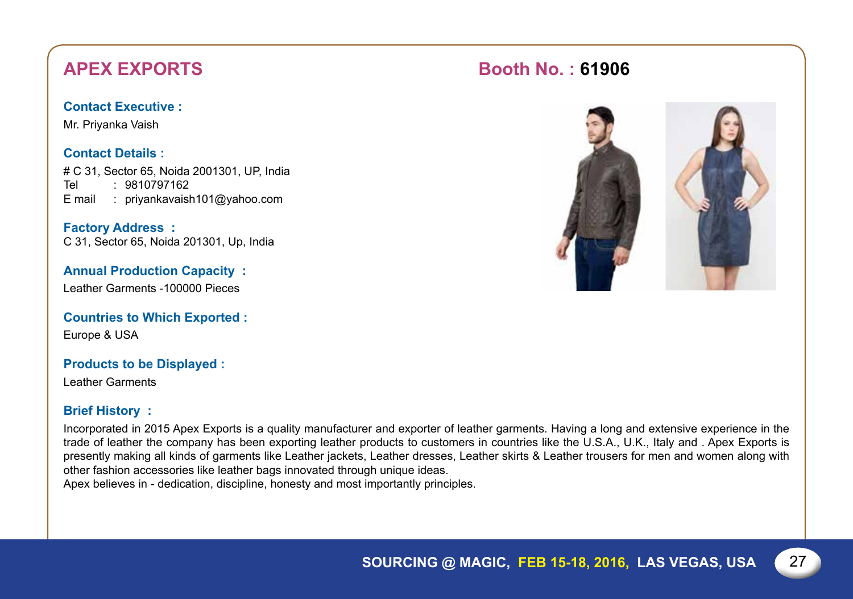# **APEX EXPORTS Booth No. : 61906**

### **Contact Executive :**

Mr. Priyanka Vaish

### **Contact Details :**

# C 31, Sector 65, Noida 2001301, UP, India Tel : 9810797162 E mail : priyankavaish101@yahoo.com

**Factory Address :** C 31, Sector 65, Noida 201301, Up, India

**Annual Production Capacity :** Leather Garments -100000 Pieces

**Countries to Which Exported :** Europe & USA

#### **Products to be Displayed :**

Leather Garments

### **Brief History :**

Incorporated in 2015 Apex Exports is a quality manufacturer and exporter of leather garments. Having a long and extensive experience in the trade of leather the company has been exporting leather products to customers in countries like the U.S.A., U.K., Italy and . Apex Exports is presently making all kinds of garments like Leather jackets, Leather dresses, Leather skirts & Leather trousers for men and women along with other fashion accessories like leather bags innovated through unique ideas.

Apex believes in - dedication, discipline, honesty and most importantly principles.

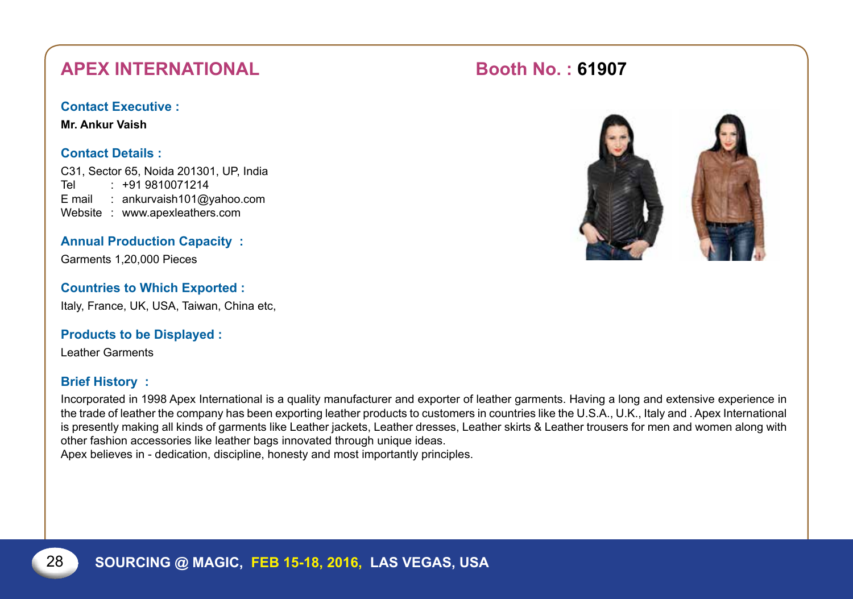# **APEX INTERNATIONAL Booth No.: 61907**

#### **Contact Executive :**

**Mr. Ankur Vaish**

### **Contact Details :**

C31, Sector 65, Noida 201301, Up, India Tel : +91 9810071214 E mail : ankurvaish101@yahoo.com Website : www.apexleathers.com

**Annual Production Capacity :**

Garments 1,20,000 Pieces

### **Countries to Which Exported :**

Italy, France, UK, USA, Taiwan, China etc,

#### **Products to be Displayed :**

Leather Garments

### **Brief History :**

Incorporated in 1998 Apex International is a quality manufacturer and exporter of leather garments. Having a long and extensive experience in the trade of leather the company has been exporting leather products to customers in countries like the U.S.A., U.K., Italy and . Apex International is presently making all kinds of garments like Leather jackets, Leather dresses, Leather skirts & Leather trousers for men and women along with other fashion accessories like leather bags innovated through unique ideas.

Apex believes in - dedication, discipline, honesty and most importantly principles.

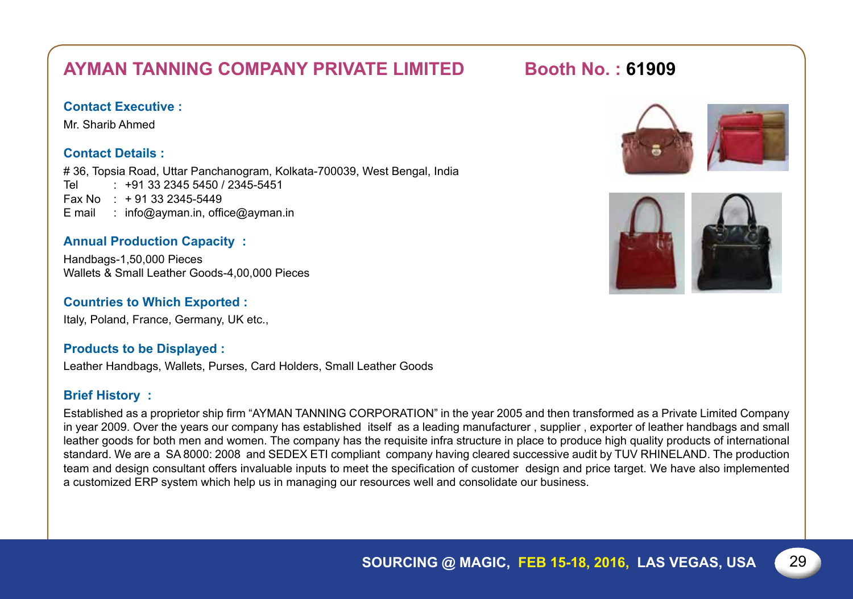# **Ayman Tanning Company Private Limited Booth No. : 61909**

#### **Contact Executive :**

Mr. Sharib Ahmed

#### **Contact Details :**

# 36, Topsia Road, Uttar Panchanogram, Kolkata-700039, West Bengal, India Tel : +91 33 2345 5450 / 2345-5451 Fax No  $: +91332345 - 5449$ E mail : info@ayman.in, office@ayman.in

#### **Annual Production Capacity :**

Handbags-1,50,000 Pieces Wallets & Small Leather Goods-4,00,000 Pieces

#### **Countries to Which Exported :**

Italy, Poland, France, Germany, UK etc.,

#### **Products to be Displayed :**

Leather Handbags, Wallets, Purses, Card Holders, Small Leather Goods

#### **Brief History :**

Established as a proprietor ship firm "AYMAN TANNING CORPORATION" in the year 2005 and then transformed as a Private Limited Company in year 2009. Over the years our company has established itself as a leading manufacturer , supplier , exporter of leather handbags and small leather goods for both men and women. The company has the requisite infra structure in place to produce high quality products of international standard. We are a SA 8000: 2008 and SEDEX ETI compliant company having cleared successive audit by TUV RHINELAND. The production team and design consultant offers invaluable inputs to meet the specification of customer design and price target. We have also implemented a customized ERP system which help us in managing our resources well and consolidate our business.



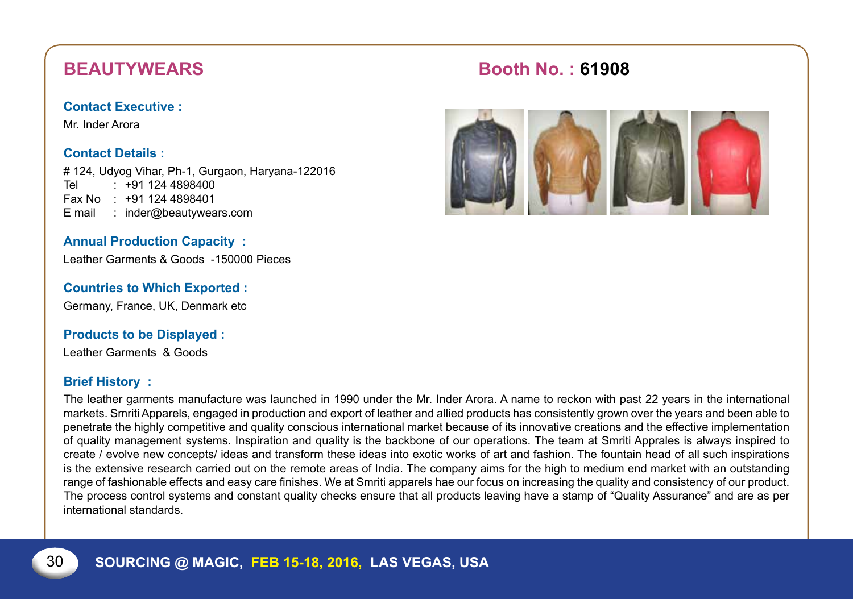Mr. Inder Arora

#### **Contact Details :**

# 124, Udyog Vihar, Ph-1, Gurgaon, Haryana-122016 Tel : +91 124 4898400 Fax No : +91 124 4898401 E mail : inder@beautywears.com

#### **Annual Production Capacity :**

Leather Garments & Goods -150000 Pieces

#### **Countries to Which Exported :**

Germany, France, UK, Denmark etc

#### **Products to be Displayed :**

Leather Garments & Goods

#### **Brief History :**

The leather garments manufacture was launched in 1990 under the Mr. Inder Arora. A name to reckon with past 22 years in the international markets. Smriti Apparels, engaged in production and export of leather and allied products has consistently grown over the years and been able to penetrate the highly competitive and quality conscious international market because of its innovative creations and the effective implementation of quality management systems. Inspiration and quality is the backbone of our operations. The team at Smriti Apprales is always inspired to create / evolve new concepts/ ideas and transform these ideas into exotic works of art and fashion. The fountain head of all such inspirations is the extensive research carried out on the remote areas of India. The company aims for the high to medium end market with an outstanding range of fashionable effects and easy care finishes. We at Smriti apparels hae our focus on increasing the quality and consistency of our product. The process control systems and constant quality checks ensure that all products leaving have a stamp of "Quality Assurance" and are as per international standards.

# **BEAUTYWEARS** Booth No.: 61908

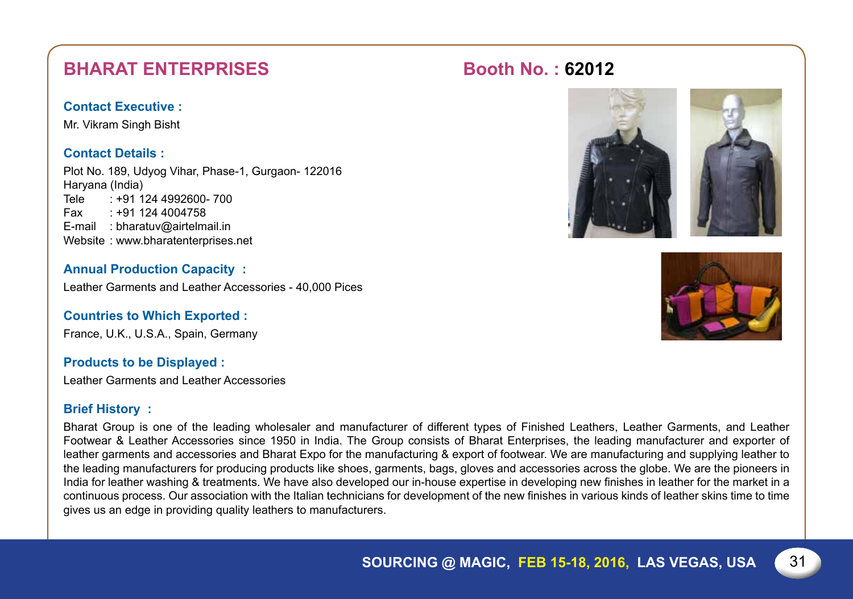# **BHARAT ENTERPRISES Booth No. : 62012**

#### **Contact Executive :**

Mr. Vikram Singh Bisht

#### **Contact Details :**

Plot No. 189, Udyog Vihar, Phase-1, Gurgaon- 122016 Haryana (India) Tele : +91 124 4992600- 700 Fax : +91 124 4004758 E-mail : bharatuv@airtelmail.in Website : www.bharatenterprises.net

**Annual Production Capacity :** Leather Garments and Leather Accessories - 40,000 Pices

**Countries to Which Exported :** France, U.K., U.S.A., Spain, Germany

#### **Products to be Displayed :**

Leather Garments and Leather Accessories

#### **Brief History :**

Bharat Group is one of the leading wholesaler and manufacturer of different types of Finished Leathers, Leather Garments, and Leather Footwear & Leather Accessories since 1950 in India. The Group consists of Bharat Enterprises, the leading manufacturer and exporter of leather garments and accessories and Bharat Expo for the manufacturing & export of footwear. We are manufacturing and supplying leather to the leading manufacturers for producing products like shoes, garments, bags, gloves and accessories across the globe. We are the pioneers in India for leather washing & treatments. We have also developed our in-house expertise in developing new finishes in leather for the market in a continuous process. Our association with the Italian technicians for development of the new finishes in various kinds of leather skins time to time gives us an edge in providing quality leathers to manufacturers.



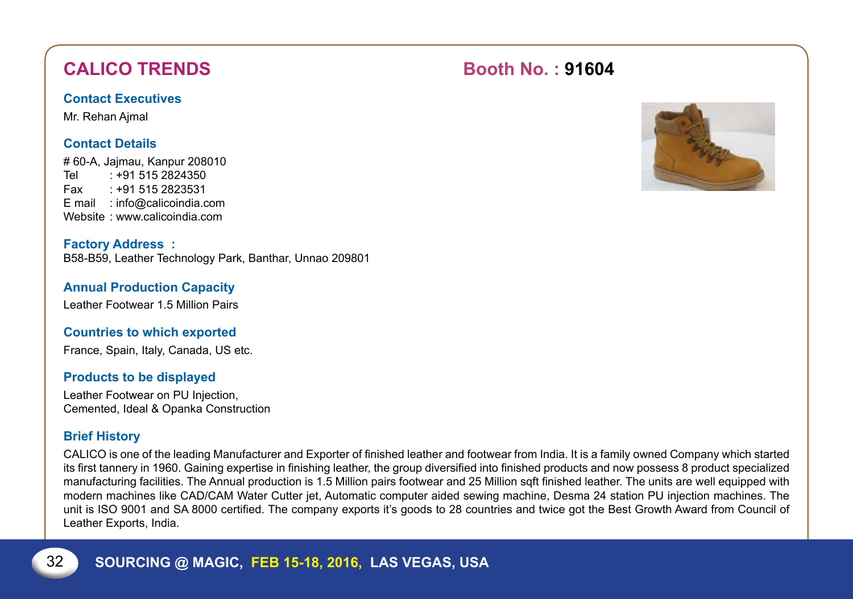# **CALICO TRENDS** Booth No. : 91604

#### **Contact Executives**

Mr. Rehan Ajmal

### **Contact Details**

# 60-A, Jajmau, Kanpur 208010 Tel : +91 515 2824350 Fax : +91 515 2823531 E mail : info@calicoindia.com Website : www.calicoindia.com

**Factory Address :** B58-B59, Leather Technology Park, Banthar, Unnao 209801

### **Annual Production Capacity**

Leather Footwear 1.5 Million Pairs

### **Countries to which exported**

France, Spain, Italy, Canada, US etc.

#### **Products to be displayed**

Leather Footwear on PU Injection, Cemented, Ideal & Opanka Construction

### **Brief History**

CALICO is one of the leading Manufacturer and Exporter of finished leather and footwear from India. It is a family owned Company which started its first tannery in 1960. Gaining expertise in finishing leather, the group diversified into finished products and now possess 8 product specialized manufacturing facilities. The Annual production is 1.5 Million pairs footwear and 25 Million sqft finished leather. The units are well equipped with modern machines like CAD/CAM Water Cutter jet, Automatic computer aided sewing machine, Desma 24 station PU injection machines. The unit is ISO 9001 and SA 8000 certified. The company exports it's goods to 28 countries and twice got the Best Growth Award from Council of Leather Exports, India.

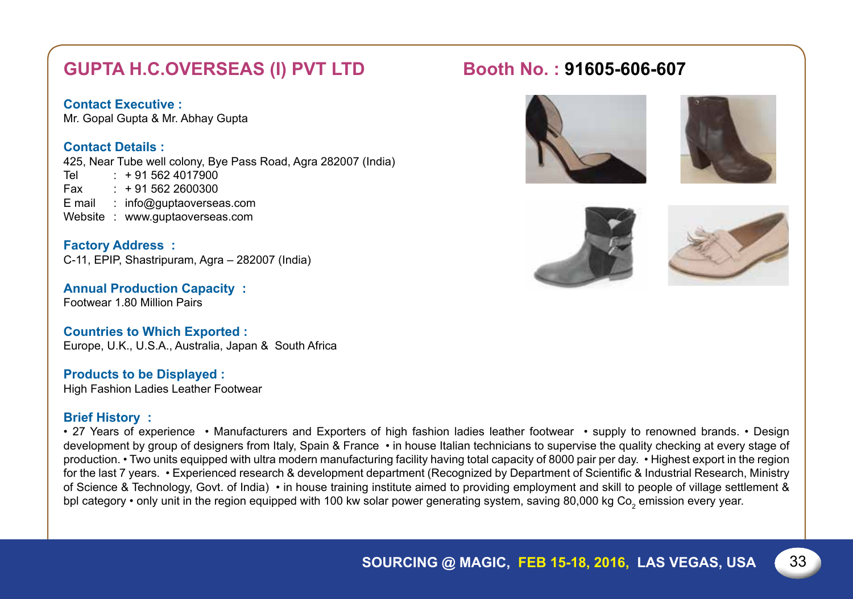# **GUPTA H.C.OVERSEAS (I) PVT LTD Booth No. : 91605-606-607**

#### **Contact Executive :**

Mr. Gopal Gupta & Mr. Abhay Gupta

#### **Contact Details :**

425, Near Tube well colony, Bye Pass Road, Agra 282007 (India)

Tel :  $+91\,562\,4017900$ <br>Fax  $+91\,562\,2600300$  $+915622600300$ E mail : info@guptaoverseas.com Website : www.guptaoverseas.com

**Factory Address :** C-11, EPIP, Shastripuram, Agra – 282007 (India)

**Annual Production Capacity :** Footwear 1.80 Million Pairs

#### **Countries to Which Exported :**

Europe, U.K., U.S.A., Australia, Japan & South Africa

#### **Products to be Displayed :**

High Fashion Ladies Leather Footwear

#### **Brief History :**

• 27 Years of experience • Manufacturers and Exporters of high fashion ladies leather footwear • supply to renowned brands. • Design development by group of designers from Italy, Spain & France • in house Italian technicians to supervise the quality checking at every stage of production. • Two units equipped with ultra modern manufacturing facility having total capacity of 8000 pair per day. • Highest export in the region for the last 7 years. • Experienced research & development department (Recognized by Department of Scientific & Industrial Research, Ministry of Science & Technology, Govt. of India) • in house training institute aimed to providing employment and skill to people of village settlement & bpl category • only unit in the region equipped with 100 kw solar power generating system, saving 80,000 kg Co<sub>2</sub> emission every year.







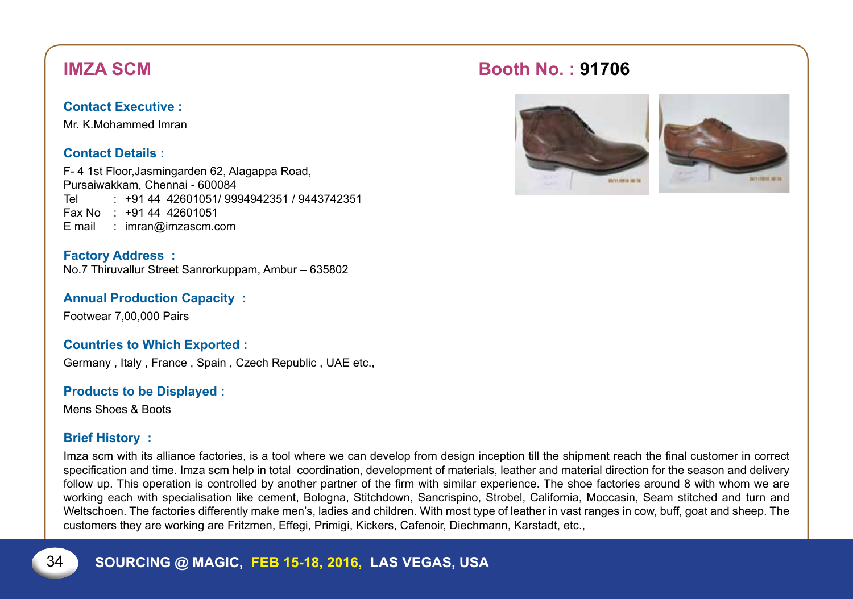Mr. K.Mohammed Imran

#### **Contact Details :**

F- 4 1st Floor,Jasmingarden 62, Alagappa Road, Pursaiwakkam, Chennai - 600084 Tel : +91 44 42601051/ 9994942351 / 9443742351 Fax No : +91 44 42601051 E mail : imran@imzascm.com

**Factory Address :** No.7 Thiruvallur Street Sanrorkuppam, Ambur – 635802

**Annual Production Capacity :**

Footwear 7,00,000 Pairs

#### **Countries to Which Exported :**

Germany , Italy , France , Spain , Czech Republic , UAE etc.,

**Products to be Displayed :**

Mens Shoes & Boots

#### **Brief History :**

Imza scm with its alliance factories, is a tool where we can develop from design inception till the shipment reach the final customer in correct specification and time. Imza scm help in total coordination, development of materials, leather and material direction for the season and delivery follow up. This operation is controlled by another partner of the firm with similar experience. The shoe factories around 8 with whom we are working each with specialisation like cement, Bologna, Stitchdown, Sancrispino, Strobel, California, Moccasin, Seam stitched and turn and Weltschoen. The factories differently make men's, ladies and children. With most type of leather in vast ranges in cow, buff, goat and sheep. The customers they are working are Fritzmen, Effegi, Primigi, Kickers, Cafenoir, Diechmann, Karstadt, etc.,

# **IMZA Scm Booth No. : 91706**



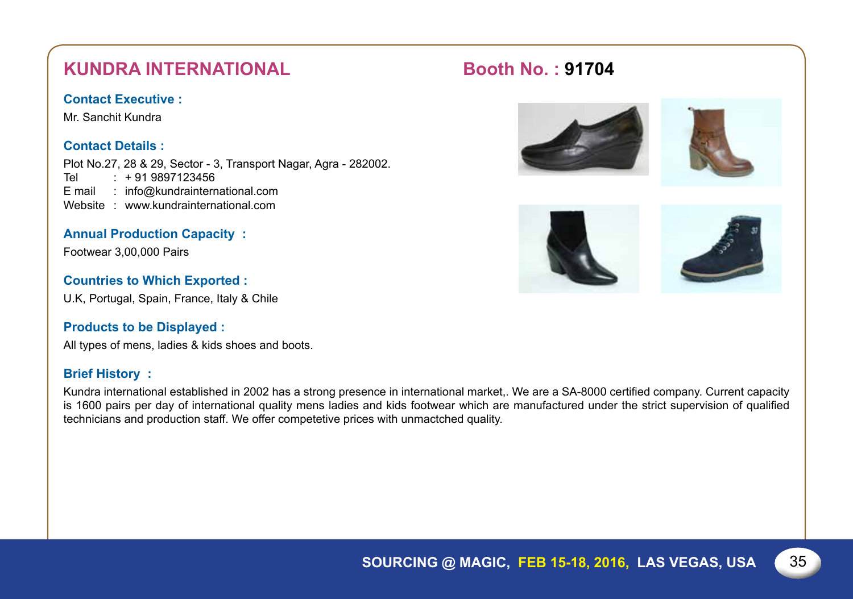# **Kundra International Booth No. : 91704**

#### **Contact Executive :**

Mr. Sanchit Kundra

#### **Contact Details :**

Plot No.27, 28 & 29, Sector - 3, Transport Nagar, Agra - 282002. Tel : +91 9897123456 E mail : info@kundrainternational.com Website : www.kundrainternational.com

#### **Annual Production Capacity :**

Footwear 3,00,000 Pairs

#### **Countries to Which Exported :**

U.K, Portugal, Spain, France, Italy & Chile

#### **Products to be Displayed :**

All types of mens, ladies & kids shoes and boots.

#### **Brief History :**

Kundra international established in 2002 has a strong presence in international market,. We are a SA-8000 certified company. Current capacity is 1600 pairs per day of international quality mens ladies and kids footwear which are manufactured under the strict supervision of qualified technicians and production staff. We offer competetive prices with unmactched quality.







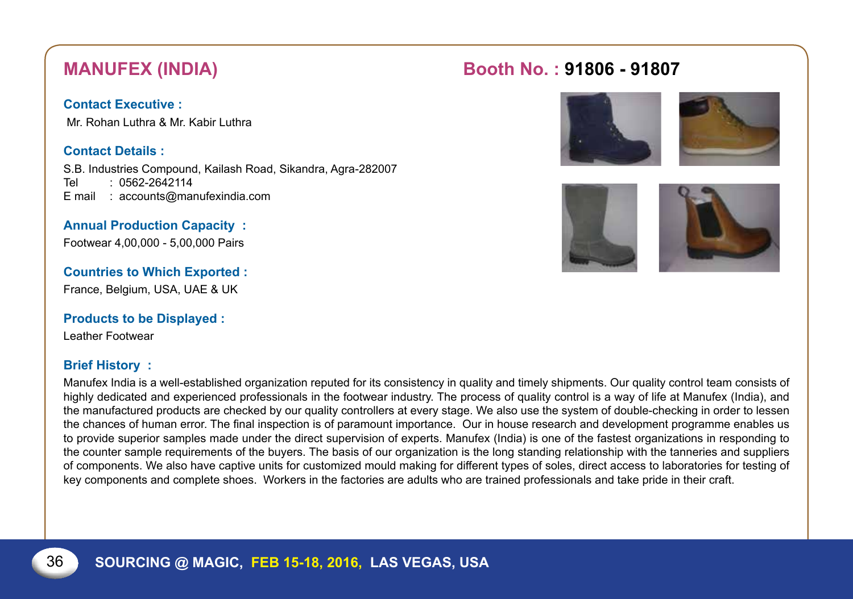Mr. Rohan Luthra & Mr. Kabir Luthra

#### **Contact Details :**

S.B. Industries Compound, Kailash Road, Sikandra, Agra-282007 Tel : 0562-2642114 E mail : accounts@manufexindia.com

### **Annual Production Capacity :**

Footwear 4,00,000 - 5,00,000 Pairs

### **Countries to Which Exported :**

France, Belgium, USA, UAE & UK

#### **Products to be Displayed :**

Leather Footwear

#### **Brief History :**

Manufex India is a well-established organization reputed for its consistency in quality and timely shipments. Our quality control team consists of highly dedicated and experienced professionals in the footwear industry. The process of quality control is a way of life at Manufex (India), and the manufactured products are checked by our quality controllers at every stage. We also use the system of double-checking in order to lessen the chances of human error. The final inspection is of paramount importance. Our in house research and development programme enables us to provide superior samples made under the direct supervision of experts. Manufex (India) is one of the fastest organizations in responding to the counter sample requirements of the buyers. The basis of our organization is the long standing relationship with the tanneries and suppliers of components. We also have captive units for customized mould making for different types of soles, direct access to laboratories for testing of key components and complete shoes. Workers in the factories are adults who are trained professionals and take pride in their craft.

# **Manufex (India) Booth No. : 91806 - 91807**





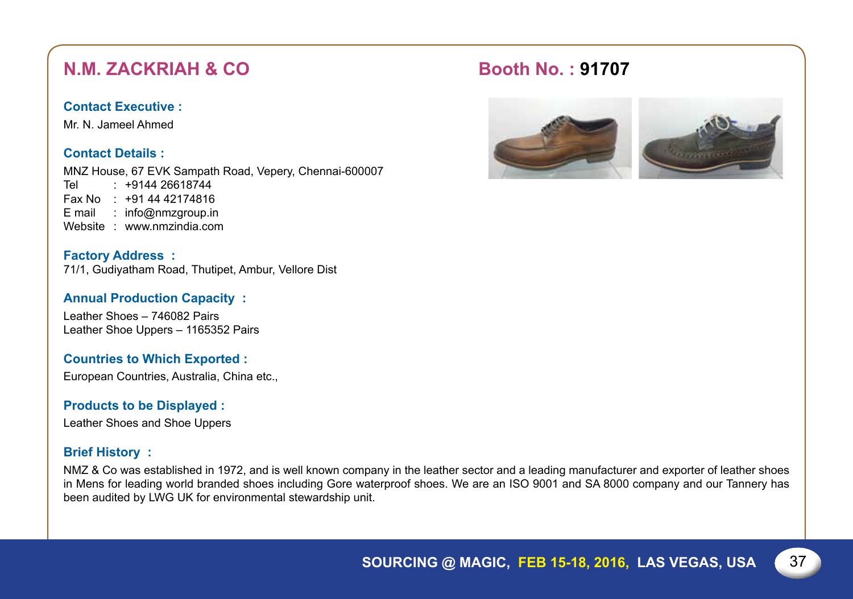# **N.M. ZACKRIAH & CO Booth No. : 91707**

### **Contact Executive :**

Mr. N. Jameel Ahmed

### **Contact Details :**

MNZ House, 67 EVK Sampath Road, Vepery, Chennai-600007 Tel : +9144 26618744

- Fax No : +91 44 42174816
- E mail : info@nmzgroup.in
- Website : www.nmzindia.com

**Factory Address :** 71/1, Gudiyatham Road, Thutipet, Ambur, Vellore Dist

#### **Annual Production Capacity :**

Leather Shoes – 746082 Pairs Leather Shoe Uppers – 1165352 Pairs

### **Countries to Which Exported :**

European Countries, Australia, China etc.,

#### **Products to be Displayed :**

Leather Shoes and Shoe Uppers

#### **Brief History :**

NMZ & Co was established in 1972, and is well known company in the leather sector and a leading manufacturer and exporter of leather shoes in Mens for leading world branded shoes including Gore waterproof shoes. We are an ISO 9001 and SA 8000 company and our Tannery has been audited by LWG UK for environmental stewardship unit.

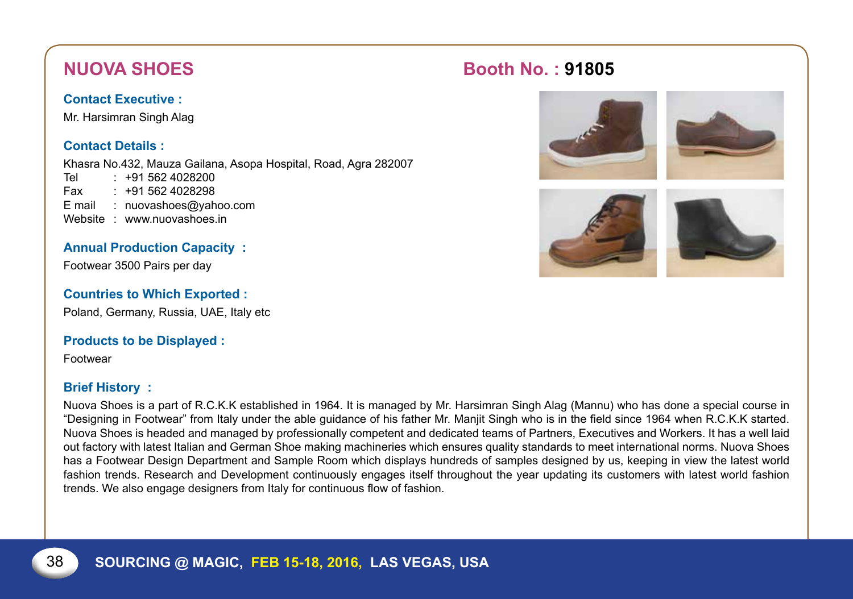Mr. Harsimran Singh Alag

### **Contact Details :**

Khasra No.432, Mauza Gailana, Asopa Hospital, Road, Agra 282007

Tel : +91 562 4028200 Fax : +91 562 4028298 E mail : nuovashoes@yahoo.com Website : www.nuovashoes.in

### **Annual Production Capacity :**

Footwear 3500 Pairs per day

### **Countries to Which Exported :**

Poland, Germany, Russia, UAE, Italy etc

### **Products to be Displayed :**

Footwear

### **Brief History :**

Nuova Shoes is a part of R.C.K.K established in 1964. It is managed by Mr. Harsimran Singh Alag (Mannu) who has done a special course in "Designing in Footwear" from Italy under the able guidance of his father Mr. Manjit Singh who is in the field since 1964 when R.C.K.K started. Nuova Shoes is headed and managed by professionally competent and dedicated teams of Partners, Executives and Workers. It has a well laid out factory with latest Italian and German Shoe making machineries which ensures quality standards to meet international norms. Nuova Shoes has a Footwear Design Department and Sample Room which displays hundreds of samples designed by us, keeping in view the latest world fashion trends. Research and Development continuously engages itself throughout the year updating its customers with latest world fashion trends. We also engage designers from Italy for continuous flow of fashion.

# **NUOVA SHOES** Booth No. : 91805





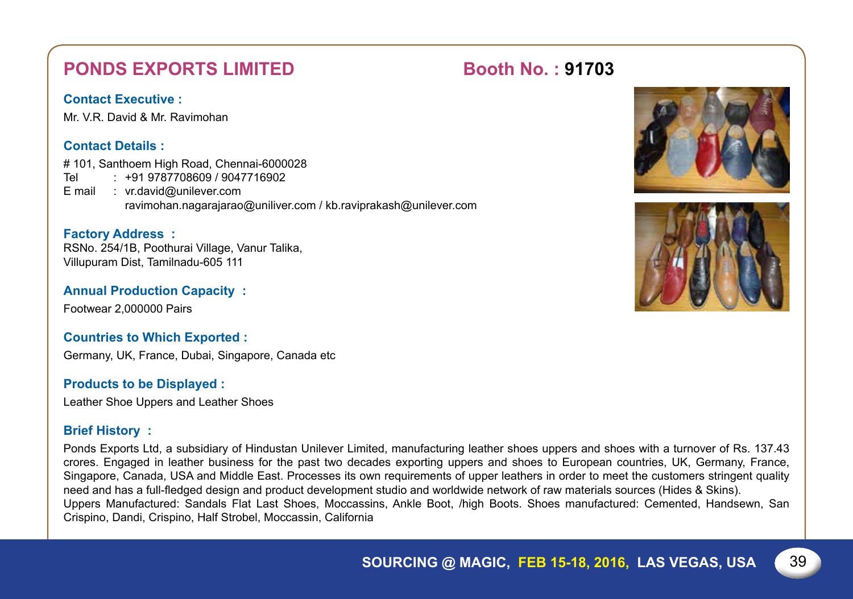# **PONDS EXPORTS LIMITED Booth No. : 91703**

### **Contact Executive :**

Mr. V.R. David & Mr. Ravimohan

### **Contact Details :**

# 101, Santhoem High Road, Chennai-6000028 Tel : +91 9787708609 / 9047716902 E mail : vr.david@unilever.com ravimohan.nagarajarao@uniliver.com / kb.raviprakash@unilever.com

#### **Factory Address :**

RSNo. 254/1B, Poothurai Village, Vanur Talika, Villupuram Dist, Tamilnadu-605 111

#### **Annual Production Capacity :**

Footwear 2,000000 Pairs

#### **Countries to Which Exported :**

Germany, UK, France, Dubai, Singapore, Canada etc

#### **Products to be Displayed :**

Leather Shoe Uppers and Leather Shoes

#### **Brief History :**

Ponds Exports Ltd, a subsidiary of Hindustan Unilever Limited, manufacturing leather shoes uppers and shoes with a turnover of Rs. 137.43 crores. Engaged in leather business for the past two decades exporting uppers and shoes to European countries, UK, Germany, France, Singapore, Canada, USA and Middle East. Processes its own requirements of upper leathers in order to meet the customers stringent quality need and has a full-fledged design and product development studio and worldwide network of raw materials sources (Hides & Skins). Uppers Manufactured: Sandals Flat Last Shoes, Moccassins, Ankle Boot, /high Boots. Shoes manufactured: Cemented, Handsewn, San Crispino, Dandi, Crispino, Half Strobel, Moccassin, California



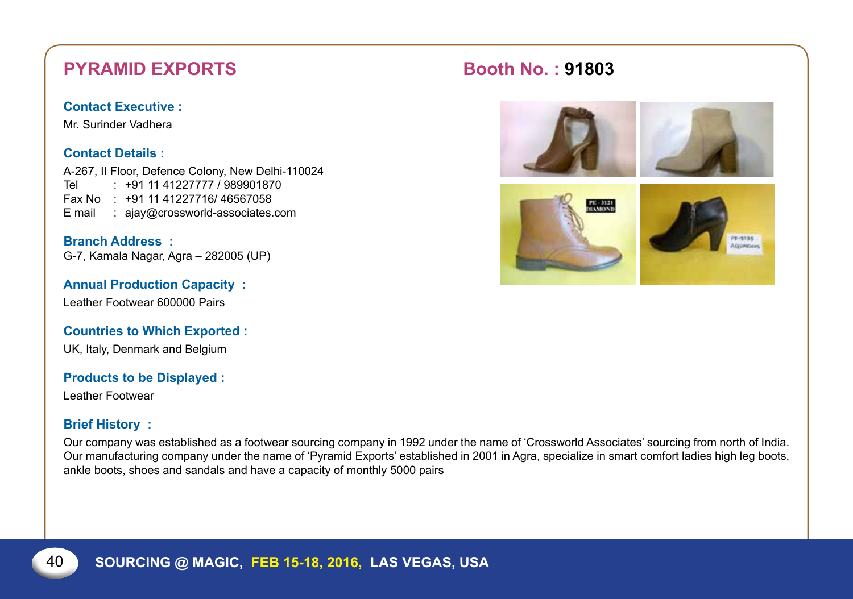# **PYRAMID EXPORTS Booth No. : 91803**

#### **Contact Executive :**

Mr. Surinder Vadhera

#### **Contact Details :**

A-267, II Floor, Defence Colony, New Delhi-110024 Tel : +91 11 41227777 / 989901870 Fax No : +91 11 41227716/ 46567058 E mail : ajay@crossworld-associates.com

**Branch Address :** G-7, Kamala Nagar, Agra – 282005 (UP)

**Annual Production Capacity :** Leather Footwear 600000 Pairs

**Countries to Which Exported :**

UK, Italy, Denmark and Belgium

**Products to be Displayed :**

Leather Footwear

#### **Brief History :**

Our company was established as a footwear sourcing company in 1992 under the name of 'Crossworld Associates' sourcing from north of India. Our manufacturing company under the name of 'Pyramid Exports' established in 2001 in Agra, specialize in smart comfort ladies high leg boots, ankle boots, shoes and sandals and have a capacity of monthly 5000 pairs

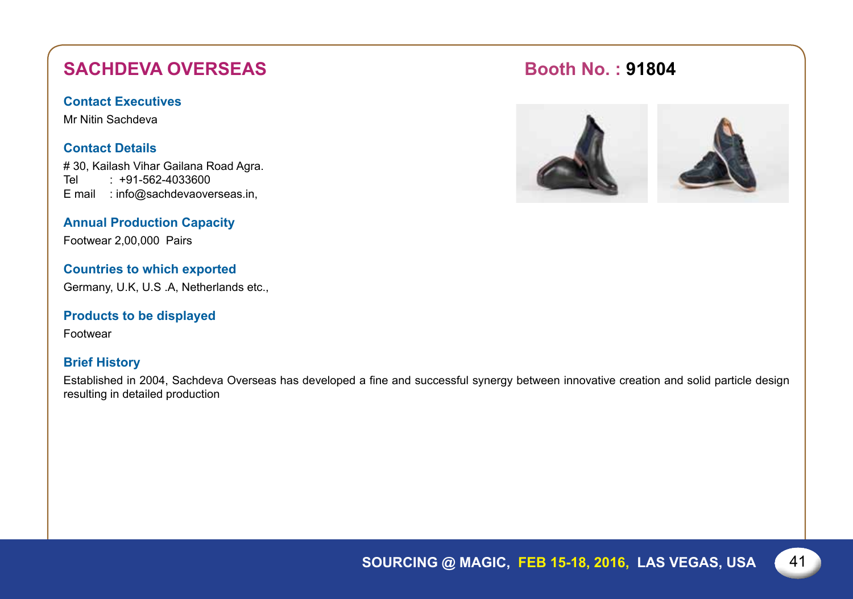# **SACHDEVA OVERSEAS Booth No. : 91804**

#### **Contact Executives**

Mr Nitin Sachdeva

#### **Contact Details**

# 30, Kailash Vihar Gailana Road Agra. Tel : +91-562-4033600 E mail : info@sachdevaoverseas.in,

### **Annual Production Capacity**

Footwear 2,00,000 Pairs

#### **Countries to which exported**

Germany, U.K, U.S .A, Netherlands etc.,

#### **Products to be displayed**

Footwear

#### **Brief History**

Established in 2004, Sachdeva Overseas has developed a fine and successful synergy between innovative creation and solid particle design resulting in detailed production



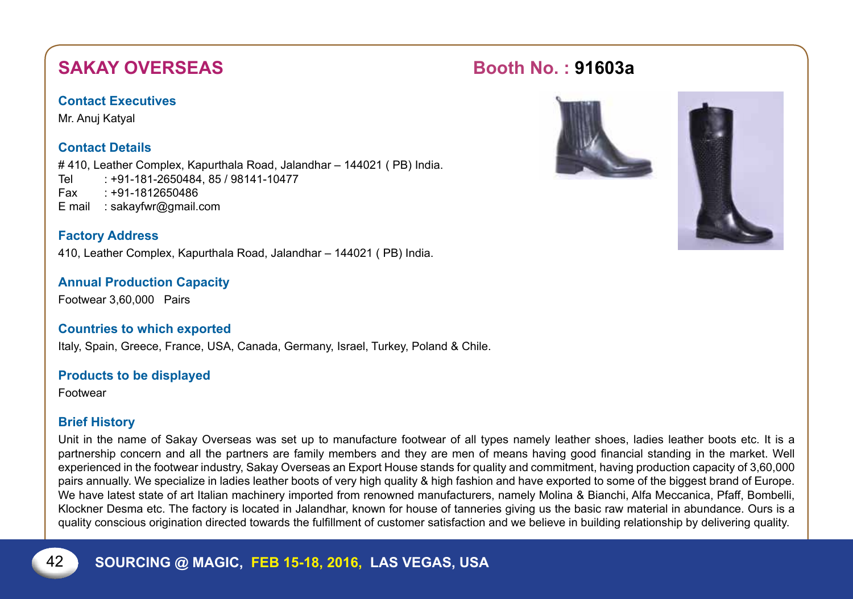# **SAKAY OVERSEAS Booth No. : 91603a**

#### **Contact Executives**

Mr. Anuj Katyal

### **Contact Details**

# 410, Leather Complex, Kapurthala Road, Jalandhar – 144021 ( PB) India. Tel : +91-181-2650484, 85 / 98141-10477 Fax : +91-1812650486 E mail : sakayfwr@gmail.com

### **Factory Address**

410, Leather Complex, Kapurthala Road, Jalandhar – 144021 ( PB) India.

### **Annual Production Capacity**

Footwear 3,60,000 Pairs

### **Countries to which exported**

Italy, Spain, Greece, France, USA, Canada, Germany, Israel, Turkey, Poland & Chile.

#### **Products to be displayed**

Footwear

### **Brief History**

Unit in the name of Sakay Overseas was set up to manufacture footwear of all types namely leather shoes, ladies leather boots etc. It is a partnership concern and all the partners are family members and they are men of means having good financial standing in the market. Well experienced in the footwear industry, Sakay Overseas an Export House stands for quality and commitment, having production capacity of 3,60,000 pairs annually. We specialize in ladies leather boots of very high quality & high fashion and have exported to some of the biggest brand of Europe. We have latest state of art Italian machinery imported from renowned manufacturers, namely Molina & Bianchi, Alfa Meccanica, Pfaff, Bombelli, Klockner Desma etc. The factory is located in Jalandhar, known for house of tanneries giving us the basic raw material in abundance. Ours is a quality conscious origination directed towards the fulfillment of customer satisfaction and we believe in building relationship by delivering quality.

## 42 **Sourcing @ Magic, Feb 15-18, 2016, LAS VEGAS, USA**



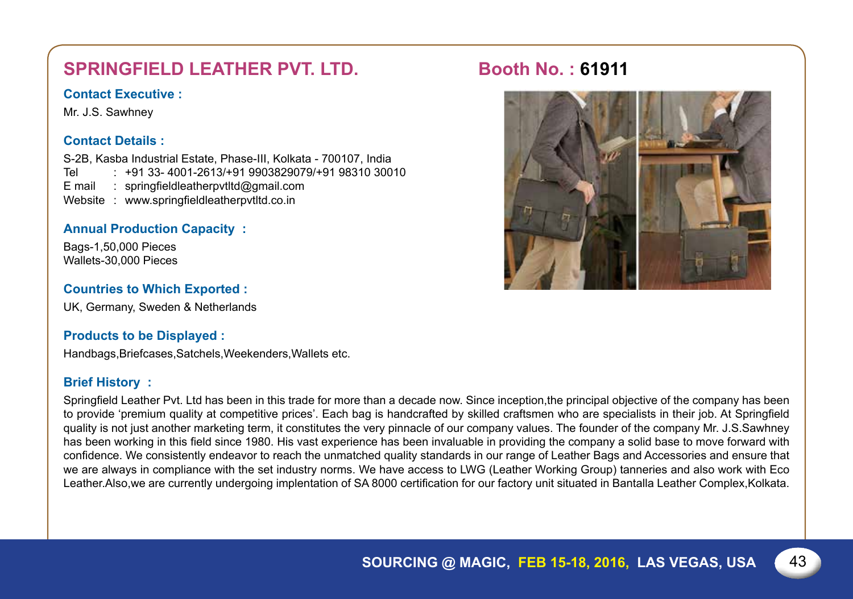# **SPRINGFIELD LEATHER PVT. LTD. Booth No.: 61911**

#### **Contact Executive :**

Mr. J.S. Sawhney

#### **Contact Details :**

S-2B, Kasba Industrial Estate, Phase-III, Kolkata - 700107, India Tel : +91 33- 4001-2613/+91 9903829079/+91 98310 30010<br>F mail : springfieldleatherpytItd@gmail.com springfieldleatherpvtltd@gmail.com Website : www.springfieldleatherpvtltd.co.in

#### **Annual Production Capacity :**

Bags-1,50,000 Pieces Wallets-30,000 Pieces

#### **Countries to Which Exported :**

UK, Germany, Sweden & Netherlands

#### **Products to be Displayed :**

Handbags,Briefcases,Satchels,Weekenders,Wallets etc.

#### **Brief History :**

Springfield Leather Pvt. Ltd has been in this trade for more than a decade now. Since inception,the principal objective of the company has been to provide 'premium quality at competitive prices'. Each bag is handcrafted by skilled craftsmen who are specialists in their job. At Springfield quality is not just another marketing term, it constitutes the very pinnacle of our company values. The founder of the company Mr. J.S.Sawhney has been working in this field since 1980. His vast experience has been invaluable in providing the company a solid base to move forward with confidence. We consistently endeavor to reach the unmatched quality standards in our range of Leather Bags and Accessories and ensure that we are always in compliance with the set industry norms. We have access to LWG (Leather Working Group) tanneries and also work with Eco Leather.Also,we are currently undergoing implentation of SA 8000 certification for our factory unit situated in Bantalla Leather Complex,Kolkata.

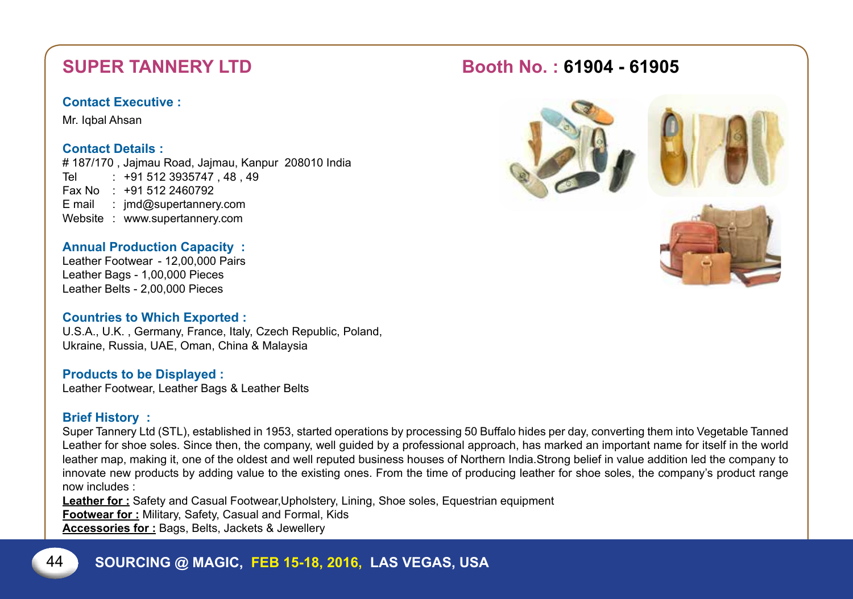Mr. Iqbal Ahsan

#### **Contact Details :**

# 187/170 , Jajmau Road, Jajmau, Kanpur 208010 India Tel : +91 512 3935747, 48, 49 Fax No : +91 512 2460792 E mail : jmd@supertannery.com Website : www.supertannery.com

### **Annual Production Capacity :**

Leather Footwear - 12,00,000 Pairs Leather Bags - 1,00,000 Pieces Leather Belts - 2,00,000 Pieces

#### **Countries to Which Exported :**

U.S.A., U.K. , Germany, France, Italy, Czech Republic, Poland, Ukraine, Russia, UAE, Oman, China & Malaysia

#### **Products to be Displayed :**

Leather Footwear, Leather Bags & Leather Belts

#### **Brief History :**

Super Tannery Ltd (STL), established in 1953, started operations by processing 50 Buffalo hides per day, converting them into Vegetable Tanned Leather for shoe soles. Since then, the company, well guided by a professional approach, has marked an important name for itself in the world leather map, making it, one of the oldest and well reputed business houses of Northern India.Strong belief in value addition led the company to innovate new products by adding value to the existing ones. From the time of producing leather for shoe soles, the company's product range now includes :

**Leather for :** Safety and Casual Footwear,Upholstery, Lining, Shoe soles, Equestrian equipment

**Footwear for :** Military, Safety, Casual and Formal, Kids

**Accessories for :** Bags, Belts, Jackets & Jewellery







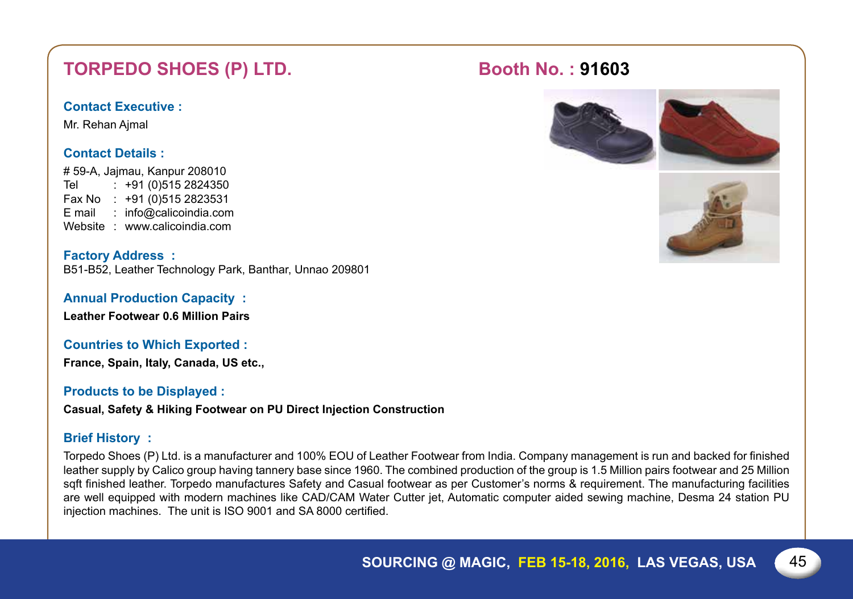# TORPEDO SHOES (P) LTD. Booth No.: 91603

### **Contact Executive :**

Mr. Rehan Ajmal

### **Contact Details :**

# 59-A, Jajmau, Kanpur 208010 Tel : +91 (0)515 2824350 Fax No : +91 (0)515 2823531 E mail : info@calicoindia.com Website : www.calicoindia.com

**Factory Address :** B51-B52, Leather Technology Park, Banthar, Unnao 209801

**Annual Production Capacity :**

**Leather Footwear 0.6 Million Pairs**

**Countries to Which Exported :**

**France, Spain, Italy, Canada, US etc.,**

### **Products to be Displayed :**

**Casual, Safety & Hiking Footwear on Pu Direct Injection Construction**

#### **Brief History :**

Torpedo Shoes (P) Ltd. is a manufacturer and 100% EOU of Leather Footwear from India. Company management is run and backed for finished leather supply by Calico group having tannery base since 1960. The combined production of the group is 1.5 Million pairs footwear and 25 Million sqft finished leather. Torpedo manufactures Safety and Casual footwear as per Customer's norms & requirement. The manufacturing facilities are well equipped with modern machines like CAD/CAM Water Cutter jet, Automatic computer aided sewing machine, Desma 24 station PU injection machines. The unit is ISO 9001 and SA 8000 certified.